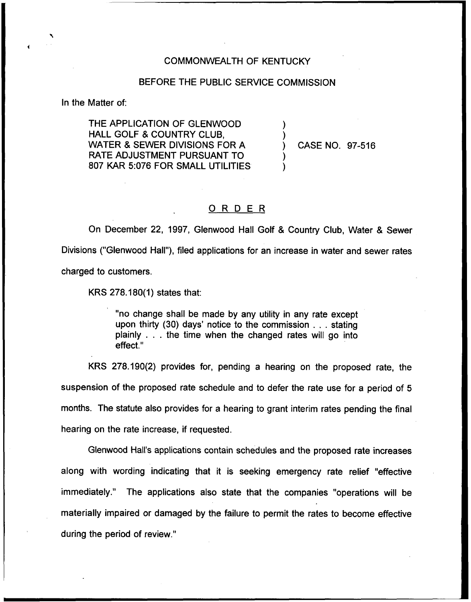## COMMONWEALTH OF KENTUCKY

## BEFORE THE PUBLIC SERVICE COMMISSION

In the Matter of:

THE APPLICATION OF GLENWOOD HALL GOLF 8 COUNTRY CLUB, WATER 8 SEWER DIVISIONS FOR A RATE ADJUSTMENT PURSUANT TO 807 KAR 5:0?6 FOR SMALL UTILITIES

) CASE NO. 97-516

) )

) )

## ORDER

On December 22, 1997, Glenwood Hall Golf 8 Country Club, Water 8 Sewer Divisions ("Glenwood Hall"), filed applications for an increase in water and sewer rates charged to customers.

 $KRS$  278.180 $(1)$  states that:

"no change shall be made by any utility in any rate except upon thirty (30) days' notice to the commission... stating plainly... the time when the changed rates will go into effect."

KRS 278.190(2) provides for, pending a hearing on the proposed rate, the suspension of the proposed rate schedule and to defer the rate use for a period of 5 months. The statute also provides for a hearing to grant interim rates pending the final hearing on the rate increase, if requested.

Glenwood Hall's applications contain schedules and the proposed rate increases along with wording indicating that it is seeking emergency rate relief "effective immediately." The applications also state that the companies "operations will be materially impaired or damaged by the failure to permit the rates to become effective during the period of review."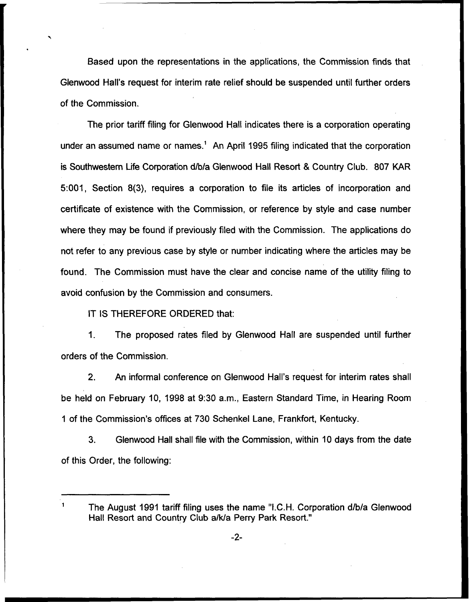Based upon the representations in the applications, the Commission finds that Glenwood Hall's request for interim rate relief should be suspended until further orders of the Commission.

The prior tariff filing for Glenwood Hall indicates there is a corporation operating under an assumed name or names.<sup>1</sup> An April 1995 filing indicated that the corporation is Southwestern Life Corporation d/b/a Glenwood Hall Resort 8 Country Club. 807 KAR 5:001, Section 8(3), requires a corporation to file its articles of incorporation and certificate of existence with the Commission, or reference by style and case number where they may be found if previously filed with the Commission. The applications do not refer to any previous case by style or number indicating where the articles may be found. The Commission must have the clear and concise name of the utility filing to avoid confusion by the Commission and consumers.

IT IS THEREFORE ORDERED that:

 $\blacksquare$ 

 $1<sub>1</sub>$ The proposed rates filed by Glenwood Hall are suspended until further orders of the Commission.

2. An informal conference on Glenwood Hall's request for interim rates shall be held on February 10, 1998 at 9:30 a.m., Eastern Standard Time, in Hearing Room 1 of the Commission's offices at 730 Schenkel Lane, Frankfort, Kentucky.

3. Glenwood Hall shall file with the Commission, within 10 days from the date of this Order, the following:

The August 1991 tariff filing uses the name "I.C.H. Corporation d/b/a Glenwood Hall Resort and Country Club a/k/a Perry Park Resort."